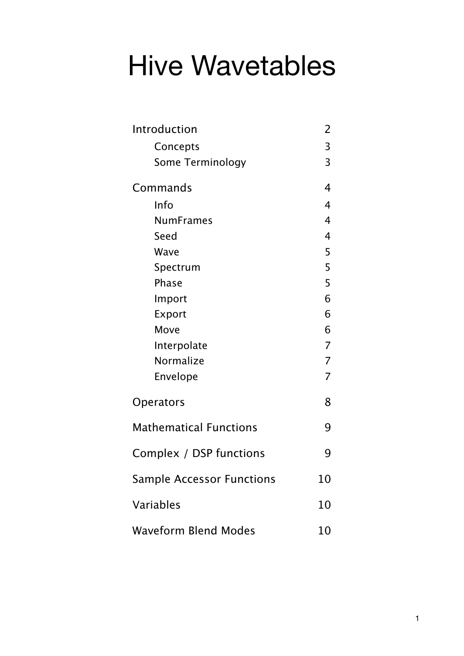# Hive Wavetables

| Introduction                     | 2              |
|----------------------------------|----------------|
| Concepts                         | 3              |
| Some Terminology                 | 3              |
| Commands                         | 4              |
| Info                             | 4              |
| <b>NumFrames</b>                 | $\overline{4}$ |
| Seed                             | 4              |
| Wave                             | 5              |
| Spectrum                         | 5              |
| Phase                            | 5              |
| Import                           | 6              |
| Export                           | 6              |
| Move                             | 6              |
| Interpolate                      | $\overline{7}$ |
| Normalize                        | $\overline{7}$ |
| Envelope                         | $\overline{7}$ |
| Operators                        | 8              |
| <b>Mathematical Functions</b>    | 9              |
| Complex / DSP functions          | g              |
| <b>Sample Accessor Functions</b> | 10             |
| Variables                        | 10             |
| <b>Waveform Blend Modes</b>      | 10             |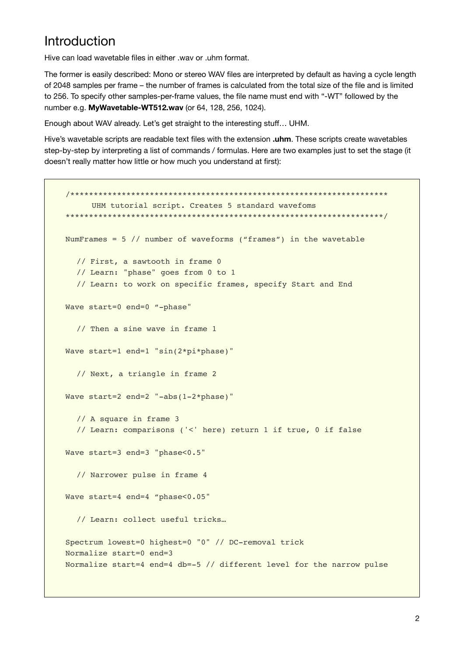### <span id="page-1-0"></span>Introduction

Hive can load wavetable files in either way or uhm format.

The former is easily described: Mono or stereo WAV files are interpreted by default as having a cycle length of 2048 samples per frame – the number of frames is calculated from the total size of the file and is limited to 256. To specify other samples-per-frame values, the file name must end with "-WT" followed by the number e.g. **MyWavetable-WT512.wav** (or 64, 128, 256, 1024).

Enough about WAV already. Let's get straight to the interesting stuff… UHM.

Hive's wavetable scripts are readable text files with the extension **.uhm**. These scripts create wavetables step-by-step by interpreting a list of commands / formulas. Here are two examples just to set the stage (it doesn't really matter how little or how much you understand at first):

```
/********************************************************************
      UHM tutorial script. Creates 5 standard wavefoms
********************************************************************/
NumFrames = 5 // number of waveforms ("frames") in the wavetable
  // First, a sawtooth in frame 0
  // Learn: "phase" goes from 0 to 1
  // Learn: to work on specific frames, specify Start and End
Wave start=0 end=0 "-phase"
  // Then a sine wave in frame 1
Wave start=1 end=1 "sin(2*pi*phase)"
  // Next, a triangle in frame 2
Wave start=2 end=2 "-abs(1-2*phase)"
  // A square in frame 3
  // Learn: comparisons ('<' here) return 1 if true, 0 if false
Wave start=3 end=3 "phase<0.5"
  // Narrower pulse in frame 4
Wave start=4 end=4 "phase<0.05"
  // Learn: collect useful tricks…
Spectrum lowest=0 highest=0 "0" // DC-removal trick
Normalize start=0 end=3
Normalize start=4 end=4 db=-5 // different level for the narrow pulse
```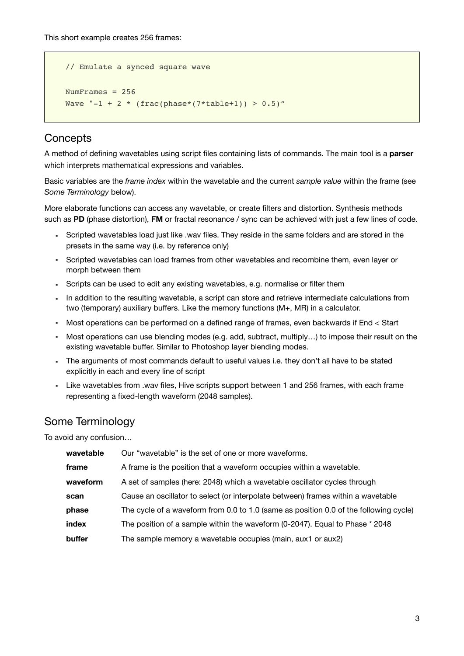This short example creates 256 frames:

```
// Emulate a synced square wave
NumFrames = 256
Wave "-1 + 2 * (frac(phase*(7*table+1)) > 0.5)"
```
### <span id="page-2-0"></span>**Concepts**

A method of defining wavetables using script files containing lists of commands. The main tool is a **parser** which interprets mathematical expressions and variables.

Basic variables are the *frame index* within the wavetable and the current *sample value* within the frame (see *Some Terminology* below).

More elaborate functions can access any wavetable, or create filters and distortion. Synthesis methods such as **PD** (phase distortion), **FM** or fractal resonance / sync can be achieved with just a few lines of code.

- Scripted wavetables load just like .wav files. They reside in the same folders and are stored in the presets in the same way (i.e. by reference only)
- Scripted wavetables can load frames from other wavetables and recombine them, even layer or morph between them
- Scripts can be used to edit any existing wavetables, e.g. normalise or filter them
- In addition to the resulting wavetable, a script can store and retrieve intermediate calculations from two (temporary) auxiliary buffers. Like the memory functions (M+, MR) in a calculator.
- Most operations can be performed on a defined range of frames, even backwards if End < Start
- Most operations can use blending modes (e.g. add, subtract, multiply...) to impose their result on the existing wavetable buffer. Similar to Photoshop layer blending modes.
- The arguments of most commands default to useful values i.e. they don't all have to be stated explicitly in each and every line of script
- Like wavetables from .wav files, Hive scripts support between 1 and 256 frames, with each frame representing a fixed-length waveform (2048 samples).

### <span id="page-2-1"></span>Some Terminology

To avoid any confusion…

| wavetable | Our "wavetable" is the set of one or more waveforms.                                  |
|-----------|---------------------------------------------------------------------------------------|
| frame     | A frame is the position that a waveform occupies within a wavetable.                  |
| waveform  | A set of samples (here: 2048) which a wavetable oscillator cycles through             |
| scan      | Cause an oscillator to select (or interpolate between) frames within a wavetable      |
| phase     | The cycle of a waveform from 0.0 to 1.0 (same as position 0.0 of the following cycle) |
| index     | The position of a sample within the waveform (0-2047). Equal to Phase * 2048          |
| buffer    | The sample memory a wavetable occupies (main, aux1 or aux2)                           |
|           |                                                                                       |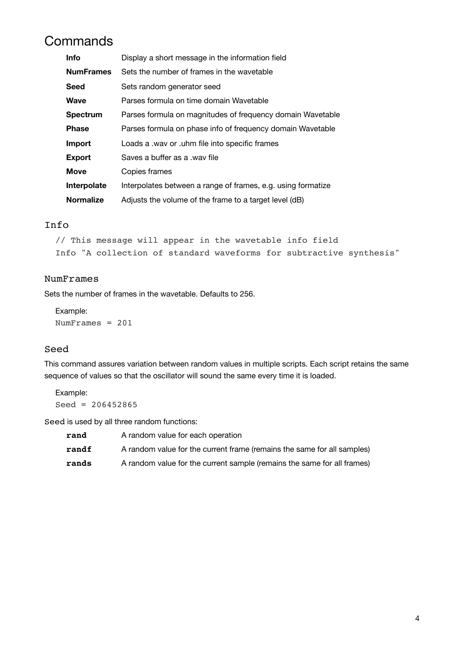## <span id="page-3-0"></span>**Commands**

| <b>Info</b>      | Display a short message in the information field             |
|------------------|--------------------------------------------------------------|
| <b>NumFrames</b> | Sets the number of frames in the wavetable                   |
| <b>Seed</b>      | Sets random generator seed                                   |
| <b>Wave</b>      | Parses formula on time domain Wavetable                      |
| <b>Spectrum</b>  | Parses formula on magnitudes of frequency domain Wavetable   |
| <b>Phase</b>     | Parses formula on phase info of frequency domain Wavetable   |
| Import           | Loads a .wav or .uhm file into specific frames               |
| <b>Export</b>    | Saves a buffer as a way file                                 |
| <b>Move</b>      | Copies frames                                                |
| Interpolate      | Interpolates between a range of frames, e.g. using formatize |
| <b>Normalize</b> | Adjusts the volume of the frame to a target level (dB)       |

#### <span id="page-3-1"></span>Info

```
// This message will appear in the wavetable info field
Info "A collection of standard waveforms for subtractive synthesis"
```
#### <span id="page-3-2"></span>NumFrames

Sets the number of frames in the wavetable. Defaults to 256.

Example: NumFrames = 201

#### <span id="page-3-3"></span>Seed

This command assures variation between random values in multiple scripts. Each script retains the same sequence of values so that the oscillator will sound the same every time it is loaded.

Example:  $Seed = 206452865$ 

Seed is used by all three random functions:

| rand  | A random value for each operation                                       |
|-------|-------------------------------------------------------------------------|
| randf | A random value for the current frame (remains the same for all samples) |
| rands | A random value for the current sample (remains the same for all frames) |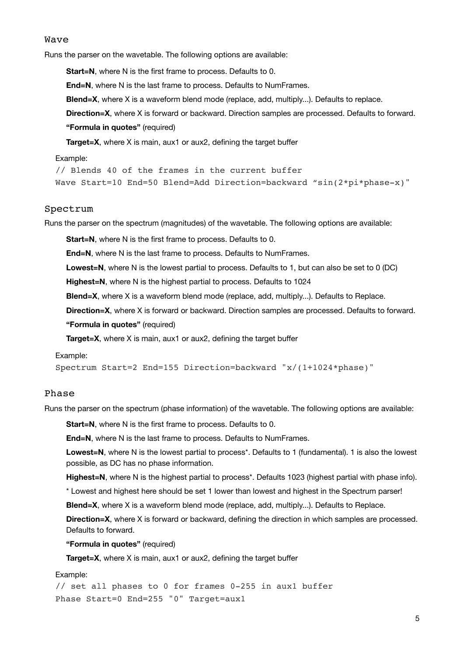#### <span id="page-4-0"></span>Wave

Runs the parser on the wavetable. The following options are available:

**Start=N**, where N is the first frame to process. Defaults to 0.

**End=N**, where N is the last frame to process. Defaults to NumFrames.

**Blend=X**, where X is a waveform blend mode (replace, add, multiply...). Defaults to replace.

**Direction=X**, where X is forward or backward. Direction samples are processed. Defaults to forward.

**"Formula in quotes"** (required)

**Target=X**, where X is main, aux1 or aux2, defining the target buffer

#### Example:

// Blends 40 of the frames in the current buffer Wave Start=10 End=50 Blend=Add Direction=backward "sin(2\*pi\*phase-x)"

#### <span id="page-4-1"></span>Spectrum

Runs the parser on the spectrum (magnitudes) of the wavetable. The following options are available:

**Start=N**, where N is the first frame to process. Defaults to 0.

**End=N**, where N is the last frame to process. Defaults to NumFrames.

**Lowest=N**, where N is the lowest partial to process. Defaults to 1, but can also be set to 0 (DC)

**Highest=N**, where N is the highest partial to process. Defaults to 1024

**Blend=X**, where X is a waveform blend mode (replace, add, multiply...). Defaults to Replace.

**Direction=X**, where X is forward or backward. Direction samples are processed. Defaults to forward.

#### **"Formula in quotes"** (required)

**Target=X**, where X is main, aux1 or aux2, defining the target buffer

#### Example:

Spectrum Start=2 End=155 Direction=backward "x/(1+1024\*phase)"

#### <span id="page-4-2"></span>Phase

Runs the parser on the spectrum (phase information) of the wavetable. The following options are available:

**Start=N**, where N is the first frame to process. Defaults to 0.

**End=N**, where N is the last frame to process. Defaults to NumFrames.

**Lowest=N**, where N is the lowest partial to process\*. Defaults to 1 (fundamental). 1 is also the lowest possible, as DC has no phase information.

**Highest=N**, where N is the highest partial to process\*. Defaults 1023 (highest partial with phase info).

\* Lowest and highest here should be set 1 lower than lowest and highest in the Spectrum parser!

**Blend=X**, where X is a waveform blend mode (replace, add, multiply...). Defaults to Replace.

**Direction=X**, where X is forward or backward, defining the direction in which samples are processed. Defaults to forward.

**"Formula in quotes"** (required)

**Target=X**, where X is main, aux1 or aux2, defining the target buffer

#### Example:

// set all phases to 0 for frames 0-255 in aux1 buffer Phase Start=0 End=255 "0" Target=aux1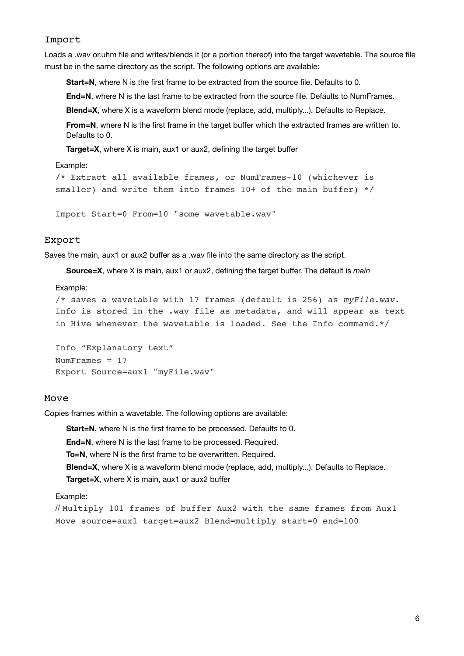#### <span id="page-5-0"></span>Import

Loads a .wav or.uhm file and writes/blends it (or a portion thereof) into the target wavetable. The source file must be in the same directory as the script. The following options are available:

**Start=N**, where N is the first frame to be extracted from the source file. Defaults to 0.

**End=N**, where N is the last frame to be extracted from the source file. Defaults to NumFrames.

**Blend=X**, where X is a waveform blend mode (replace, add, multiply...). Defaults to Replace.

**From=N**, where N is the first frame in the target buffer which the extracted frames are written to. Defaults to 0.

**Target=X**, where X is main, aux1 or aux2, defining the target buffer

#### Example:

```
/* Extract all available frames, or NumFrames-10 (whichever is 
smaller) and write them into frames 10+ of the main buffer) */
```
Import Start=0 From=10 "some wavetable.wav"

#### <span id="page-5-1"></span>Export

Saves the main, aux1 or aux2 buffer as a .wav file into the same directory as the script.

**Source=X**, where X is main, aux1 or aux2, defining the target buffer. The default is *main*

#### Example:

```
/* saves a wavetable with 17 frames (default is 256) as myFile.wav. 
Info is stored in the .wav file as metadata, and will appear as text 
in Hive whenever the wavetable is loaded. See the Info command.*/
```

```
Info "Explanatory text"
NumFrames = 17
Export Source=aux1 "myFile.wav"
```
#### <span id="page-5-2"></span>Move

Copies frames within a wavetable. The following options are available:

**Start=N**, where N is the first frame to be processed. Defaults to 0. **End=N**, where N is the last frame to be processed. Required. **To=N**, where N is the first frame to be overwritten. Required. **Blend=X**, where X is a waveform blend mode (replace, add, multiply...). Defaults to Replace. **Target=X**, where X is main, aux1 or aux2 buffer

#### Example:

// Multiply 101 frames of buffer Aux2 with the same frames from Aux1 Move source=aux1 target=aux2 Blend=multiply start=0 end=100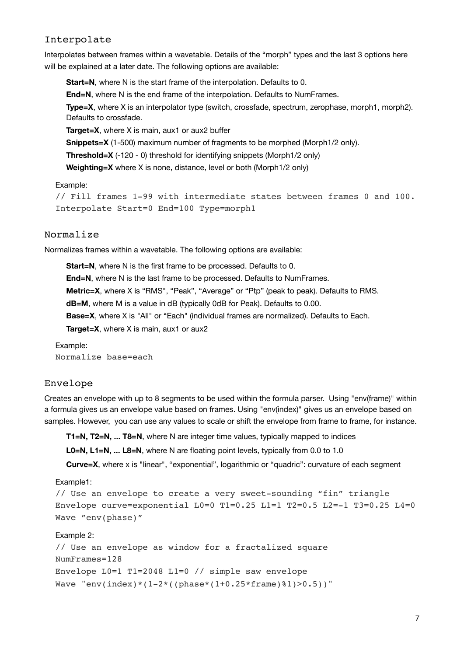#### <span id="page-6-0"></span>Interpolate

Interpolates between frames within a wavetable. Details of the "morph" types and the last 3 options here will be explained at a later date. The following options are available:

**Start=N**, where N is the start frame of the interpolation. Defaults to 0.

**End=N**, where N is the end frame of the interpolation. Defaults to NumFrames.

**Type=X**, where X is an interpolator type (switch, crossfade, spectrum, zerophase, morph1, morph2). Defaults to crossfade.

**Target=X**, where X is main, aux1 or aux2 buffer

**Snippets=X** (1-500) maximum number of fragments to be morphed (Morph1/2 only).

**Threshold=X** (-120 - 0) threshold for identifying snippets (Morph1/2 only)

**Weighting=X** where X is none, distance, level or both (Morph1/2 only)

#### Example:

```
// Fill frames 1-99 with intermediate states between frames 0 and 100.
Interpolate Start=0 End=100 Type=morph1
```
#### <span id="page-6-1"></span>Normalize

Normalizes frames within a wavetable. The following options are available:

**Start=N**, where N is the first frame to be processed. Defaults to 0. **End=N**, where N is the last frame to be processed. Defaults to NumFrames. **Metric=X**, where X is "RMS", "Peak", "Average" or "Ptp" (peak to peak). Defaults to RMS. **dB=M**, where M is a value in dB (typically 0dB for Peak). Defaults to 0.00. **Base=X**, where X is "All" or "Each" (individual frames are normalized). Defaults to Each. **Target=X**, where X is main, aux1 or aux2

Example: Normalize base=each

#### <span id="page-6-2"></span>Envelope

Creates an envelope with up to 8 segments to be used within the formula parser. Using "env(frame)" within a formula gives us an envelope value based on frames. Using "env(index)" gives us an envelope based on samples. However, you can use any values to scale or shift the envelope from frame to frame, for instance.

**T1=N, T2=N, ... T8=N**, where N are integer time values, typically mapped to indices

**L0=N, L1=N, ... L8=N**, where N are floating point levels, typically from 0.0 to 1.0

**Curve=X**, where x is "linear", "exponential", logarithmic or "quadric": curvature of each segment

Example1:

```
// Use an envelope to create a very sweet-sounding "fin" triangle
Envelope curve=exponential L0=0 T1=0.25 L1=1 T2=0.5 L2=-1 T3=0.25 L4=0
Wave "env(phase)"
```
#### Example 2:

// Use an envelope as window for a fractalized square NumFrames=128 Envelope L0=1 T1=2048 L1=0 // simple saw envelope Wave "env(index)\*(1-2\*((phase\*(1+0.25\*frame)%1)>0.5))"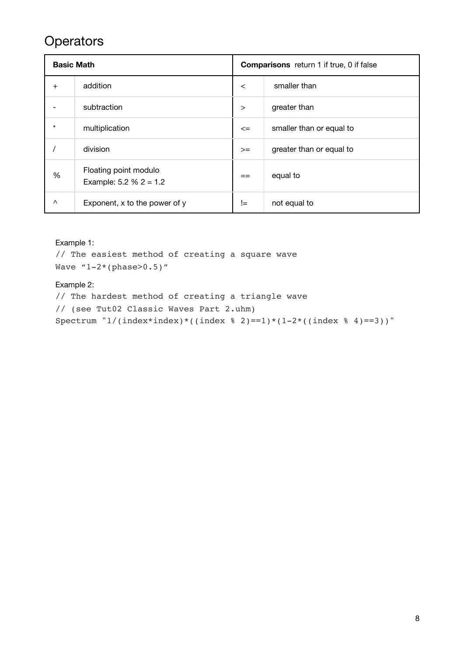### <span id="page-7-0"></span>**Operators**

| <b>Basic Math</b> |                                                    | <b>Comparisons</b> return 1 if true, 0 if false |                          |  |
|-------------------|----------------------------------------------------|-------------------------------------------------|--------------------------|--|
| $\overline{+}$    | addition                                           | $\prec$                                         | smaller than             |  |
|                   | subtraction                                        | $\geq$                                          | greater than             |  |
| $\star$           | multiplication                                     | $\leq$                                          | smaller than or equal to |  |
|                   | division                                           | $>=$                                            | greater than or equal to |  |
| %                 | Floating point modulo<br>Example: $5.2 \% 2 = 1.2$ | $=$                                             | equal to                 |  |
| $\wedge$          | Exponent, x to the power of y                      | $!=$                                            | not equal to             |  |

#### Example 1:

```
// The easiest method of creating a square wave
Wave ''1-2*(phase>0.5)''
```
#### Example 2:

```
// The hardest method of creating a triangle wave 
// (see Tut02 Classic Waves Part 2.uhm)
Spectrum "1/(index*index)*((index % 2)==1)*(1-2*((index % 4)==3))"
```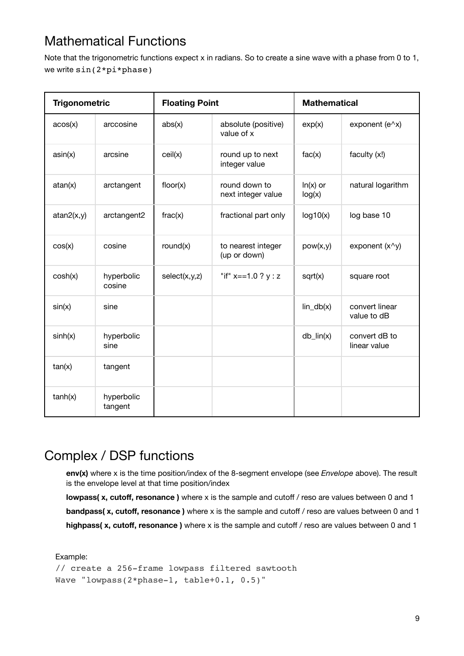# <span id="page-8-0"></span>Mathematical Functions

Note that the trigonometric functions expect x in radians. So to create a sine wave with a phase from 0 to 1, we write sin(2\*pi\*phase)

| <b>Trigonometric</b> |                       | <b>Floating Point</b> |                                     | <b>Mathematical</b>  |                               |
|----------------------|-----------------------|-----------------------|-------------------------------------|----------------------|-------------------------------|
| acos(x)              | arccosine             | abs(x)                | absolute (positive)<br>value of x   | exp(x)               | exponent ( $e^{\wedge}x$ )    |
| asin(x)              | arcsine               | ceil(x)               | round up to next<br>integer value   | fac(x)               | faculty (x!)                  |
| atan(x)              | arctangent            | floor(x)              | round down to<br>next integer value | $ln(x)$ or<br>log(x) | natural logarithm             |
| atan2(x,y)           | arctangent2           | frac(x)               | fractional part only                | log 10(x)            | log base 10                   |
| cos(x)               | cosine                | round(x)              | to nearest integer<br>(up or down)  | pow(x,y)             | exponent $(x^{\wedge}y)$      |
| cosh(x)              | hyperbolic<br>cosine  | select(x,y,z)         | "if" $x == 1.0 ? y : z$             | sqrt(x)              | square root                   |
| sin(x)               | sine                  |                       |                                     | $lin_db(x)$          | convert linear<br>value to dB |
| sinh(x)              | hyperbolic<br>sine    |                       |                                     | $db_{lin}(x)$        | convert dB to<br>linear value |
| tan(x)               | tangent               |                       |                                     |                      |                               |
| tanh(x)              | hyperbolic<br>tangent |                       |                                     |                      |                               |

### <span id="page-8-1"></span>Complex / DSP functions

**env(x)** where x is the time position/index of the 8-segment envelope (see *Envelope* above). The result is the envelope level at that time position/index

**lowpass( x, cutoff, resonance )** where x is the sample and cutoff / reso are values between 0 and 1 **bandpass( x, cutoff, resonance)** where x is the sample and cutoff / reso are values between 0 and 1 **highpass( x, cutoff, resonance )** where x is the sample and cutoff / reso are values between 0 and 1

#### Example:

```
// create a 256-frame lowpass filtered sawtooth
Wave "lowpass(2*phase-1, table+0.1, 0.5)"
```